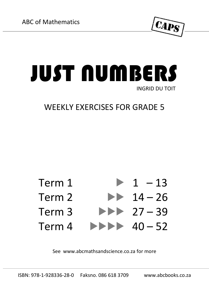

## JUST NUMBERS INGRID DU TOIT

## WEEKLY EXERCISES FOR GRADE 5



See [www.abcmathsandscience.co.za](http://www.abcmathsandscience.co.za/) for more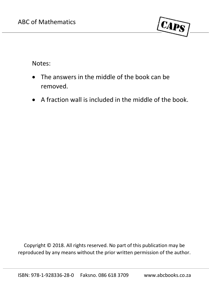

Notes:

- The answers in the middle of the book can be removed.
- A fraction wall is included in the middle of the book.

Copyright © 2018. All rights reserved. No part of this publication may be reproduced by any means without the prior written permission of the author.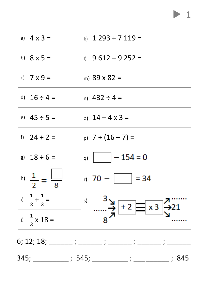| a) $4 \times 3 =$                | k) $1293 + 7119 =$                                                                                                                                                                                                                                                                                                                                                                                                                                                                                                                                                                                                                                                                                                                                                                         |
|----------------------------------|--------------------------------------------------------------------------------------------------------------------------------------------------------------------------------------------------------------------------------------------------------------------------------------------------------------------------------------------------------------------------------------------------------------------------------------------------------------------------------------------------------------------------------------------------------------------------------------------------------------------------------------------------------------------------------------------------------------------------------------------------------------------------------------------|
| b) $8 \times 5 =$                | $1)$ 9 612 – 9 252 =                                                                                                                                                                                                                                                                                                                                                                                                                                                                                                                                                                                                                                                                                                                                                                       |
| c) $7 \times 9 =$                | m) $89 \times 82 =$                                                                                                                                                                                                                                                                                                                                                                                                                                                                                                                                                                                                                                                                                                                                                                        |
| d) $16 \div 4 =$                 | n) $432 \div 4 =$                                                                                                                                                                                                                                                                                                                                                                                                                                                                                                                                                                                                                                                                                                                                                                          |
| e) $45 \div 5 =$                 | o) $14 - 4 \times 3 =$                                                                                                                                                                                                                                                                                                                                                                                                                                                                                                                                                                                                                                                                                                                                                                     |
| f) $24 \div 2 =$                 | $p)$ 7 + (16 – 7) =                                                                                                                                                                                                                                                                                                                                                                                                                                                                                                                                                                                                                                                                                                                                                                        |
| g) $18 \div 6 =$                 | q) $ -154=0$                                                                                                                                                                                                                                                                                                                                                                                                                                                                                                                                                                                                                                                                                                                                                                               |
| h) $\frac{1}{2} = \frac{1}{8}$   | r) 70 - $ $ = 34                                                                                                                                                                                                                                                                                                                                                                                                                                                                                                                                                                                                                                                                                                                                                                           |
| i) $\frac{1}{2} + \frac{1}{2} =$ | s)<br>$\begin{array}{c}\n\stackrel{3}{\longrightarrow} \rightarrow \rightarrow \\ \stackrel{3}{\longrightarrow} \rightarrow \rightarrow \\ \stackrel{4}{\longrightarrow} \rightarrow \rightarrow \\ \stackrel{5}{\longrightarrow} \rightarrow \rightarrow \\ \stackrel{7}{\longrightarrow} \\ \stackrel{3}{\longrightarrow} \\ \stackrel{2}{\longrightarrow} \\ \stackrel{3}{\longrightarrow} \\ \stackrel{3}{\longrightarrow} \\ \stackrel{4}{\longrightarrow} \\ \stackrel{5}{\longrightarrow} \\ \stackrel{6}{\longrightarrow} \\ \stackrel{7}{\longrightarrow} \\ \stackrel{8}{\longrightarrow} \\ \stackrel{9}{\longrightarrow} \\ \stackrel{1}{\longrightarrow} \\ \stackrel{1}{\longrightarrow} \\ \stackrel{1}{\longrightarrow} \\ \stackrel{1}{\longrightarrow} \\ \stackrel{1}{$ |
| i) $\frac{1}{2}$ x 18 =          |                                                                                                                                                                                                                                                                                                                                                                                                                                                                                                                                                                                                                                                                                                                                                                                            |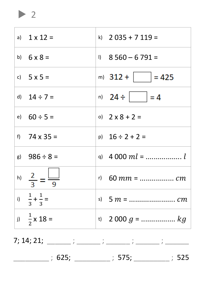a)  $1 \times 12 =$ k)  $2.035 + 7.119 =$ b)  $6 \times 8 =$  $1)$  8 560 - 6 791 = c)  $5 \times 5 =$ m)  $312 +$   $= 425$ n)  $24 \div$ d)  $14 \div 7 =$  $= 4$ e)  $60 \div 5 =$ o)  $2 \times 8 + 2 =$ f)  $74 \times 35 =$ p)  $16 \div 2 + 2 =$ g)  $986 \div 8 =$ h)  $\frac{2}{3} = \frac{1}{9}$ i)  $\frac{1}{3} + \frac{1}{3} =$ i)  $\frac{1}{2}$  x 18 = 

 $\blacktriangleright$  2

 $7; 14; 21;$   $\qquad \qquad \vdots$ ; 625; ; 575; ; 525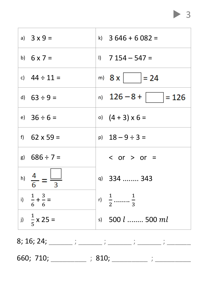| a) $3 \times 9 =$                  | k) $3646 + 6082 =$             |
|------------------------------------|--------------------------------|
| b) $6 \times 7 =$                  | $1)$ 7 154 – 547 =             |
| c) $44 \div 11 =$                  | m) $8x$ = 24                   |
| d) $63 \div 9 =$                   | n) $126 - 8 +$ = 126           |
| e) $36 \div 6 =$                   | o) $(4 + 3) \times 6 =$        |
| f) $62 \times 59 =$                | p) $18 - 9 \div 3 =$           |
| g) $686 \div 7 =$                  | $\langle$ or $\rangle$ or =    |
| h) $\frac{4}{6} = \frac{  \_ }{3}$ | q) 334  343                    |
| i) $\frac{1}{6} + \frac{3}{6} =$   | r) $\frac{1}{2}$ $\frac{1}{3}$ |
| i) $\frac{1}{5}$ x 25 =            | s) 500 <i>l</i> 500 ml         |
|                                    |                                |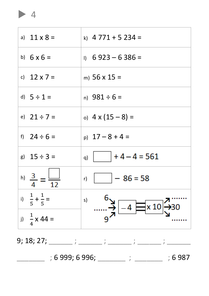a)  $11 \times 8 =$ k)  $4771 + 5234 =$ b)  $6 \times 6 =$  $11 \quad 6923 - 6386 =$ c)  $12 \times 7 =$ m)  $56 \times 15 =$ d)  $5 \div 1 =$  $n)$  981 ÷ 6 = e)  $21 \div 7 =$ o)  $4 \times (15 - 8) =$ f)  $24 \div 6 =$  $p)$  17 – 8 + 4 =  $+4-4=561$ g)  $15 \div 3 =$  $q)$  $h) \frac{3}{4} =$  $-86=58$  $r$ )  $\overline{12}$ i)  $\frac{1}{5} + \frac{1}{5} =$  $s)$  $-4$   $\equiv$  x 10  $30$ i)  $\frac{1}{4}$  x 44 = q  $9; 18; 27;$  ;  $\qquad \qquad ;$ 

; 6 999; 6 996; \_\_\_\_\_\_\_\_\_; \_\_\_\_\_\_\_\_; 6 987

 $\blacktriangleright$  4